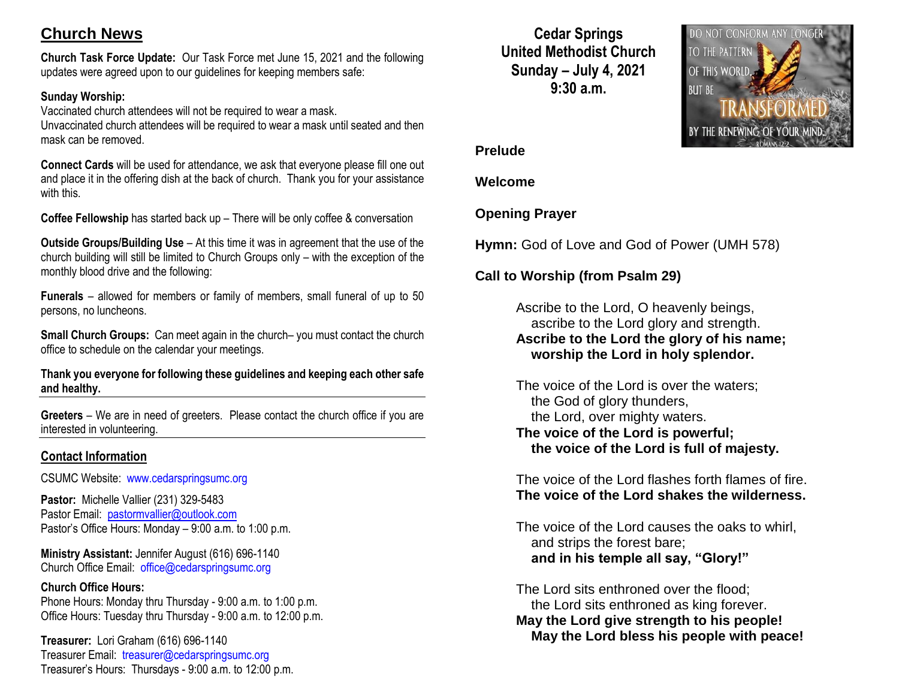# **Church News**

**Church Task Force Update:** Our Task Force met June 15, 2021 and the following updates were agreed upon to our guidelines for keeping members safe:

## **Sunday Worship:**

Vaccinated church attendees will not be required to wear a mask. Unvaccinated church attendees will be required to wear a mask until seated and then mask can be removed.

**Connect Cards** will be used for attendance, we ask that everyone please fill one out and place it in the offering dish at the back of church. Thank you for your assistance with this.

**Coffee Fellowship** has started back up – There will be only coffee & conversation

**Outside Groups/Building Use** – At this time it was in agreement that the use of the church building will still be limited to Church Groups only – with the exception of the monthly blood drive and the following:

**Funerals** – allowed for members or family of members, small funeral of up to 50 persons, no luncheons.

**Small Church Groups:** Can meet again in the church– you must contact the church office to schedule on the calendar your meetings.

**Thank you everyone for following these guidelines and keeping each other safe and healthy.**

**Greeters** – We are in need of greeters. Please contact the church office if you are interested in volunteering.

## **Contact Information**

CSUMC Website: [www.cedarspringsumc.org](http://www.cedarspringsumc.org/)

**Pastor:** Michelle Vallier (231) 329-5483 Pastor Email: [pastormvallier@outlook.com](mailto:pastormvallier@outlook.com) Pastor's Office Hours: Monday – 9:00 a.m. to 1:00 p.m.

**Ministry Assistant:** Jennifer August (616) 696-1140 Church Office Email: [office@cedarspringsumc.org](mailto:office@cedarspringsumc.org)

**Church Office Hours:**  Phone Hours: Monday thru Thursday - 9:00 a.m. to 1:00 p.m. Office Hours: Tuesday thru Thursday - 9:00 a.m. to 12:00 p.m.

**Treasurer:** Lori Graham (616) 696-1140 Treasurer Email: treasurer@cedarspringsumc.org Treasurer's Hours: Thursdays - 9:00 a.m. to 12:00 p.m.

**Cedar Springs United Methodist Church Sunday – July 4, 2021 9:30 a.m.**



#### **Prelude**

#### **Welcome**

## **Opening Prayer**

**Hymn:** God of Love and God of Power (UMH 578)

## **Call to Worship (from Psalm 29)**

Ascribe to the Lord, O heavenly beings, ascribe to the Lord glory and strength. **Ascribe to the Lord the glory of his name; worship the Lord in holy splendor.**

The voice of the Lord is over the waters; the God of glory thunders, the Lord, over mighty waters. **The voice of the Lord is powerful; the voice of the Lord is full of majesty.**

The voice of the Lord flashes forth flames of fire. **The voice of the Lord shakes the wilderness.**

The voice of the Lord causes the oaks to whirl, and strips the forest bare;  **and in his temple all say, "Glory!"**

The Lord sits enthroned over the flood; the Lord sits enthroned as king forever. **May the Lord give strength to his people! May the Lord bless his people with peace!**